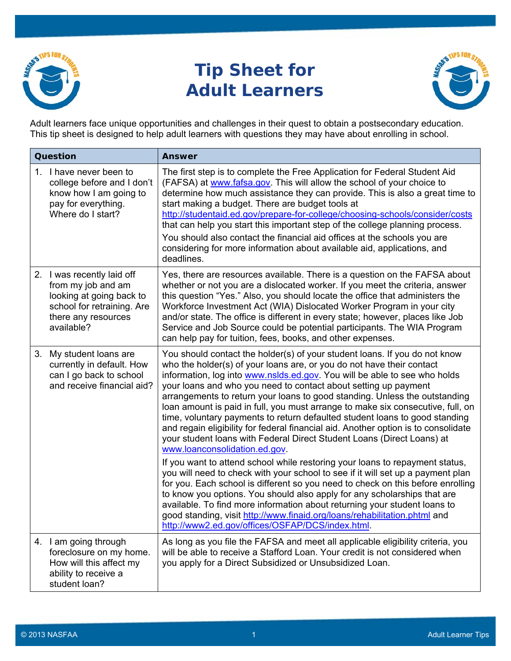

## **Tip Sheet for Adult Learners**



Adult learners face unique opportunities and challenges in their quest to obtain a postsecondary education. This tip sheet is designed to help adult learners with questions they may have about enrolling in school.

| <b>Question</b> |                                                                                                                                                 | <b>Answer</b>                                                                                                                                                                                                                                                                                                                                                                                                                                                                                                                                                                                                                                                                                                                                                                                                                                                                                                                                                                                                                                                                                                                                                                                                                                                                                        |
|-----------------|-------------------------------------------------------------------------------------------------------------------------------------------------|------------------------------------------------------------------------------------------------------------------------------------------------------------------------------------------------------------------------------------------------------------------------------------------------------------------------------------------------------------------------------------------------------------------------------------------------------------------------------------------------------------------------------------------------------------------------------------------------------------------------------------------------------------------------------------------------------------------------------------------------------------------------------------------------------------------------------------------------------------------------------------------------------------------------------------------------------------------------------------------------------------------------------------------------------------------------------------------------------------------------------------------------------------------------------------------------------------------------------------------------------------------------------------------------------|
| 1.              | I have never been to<br>college before and I don't<br>know how I am going to<br>pay for everything.<br>Where do I start?                        | The first step is to complete the Free Application for Federal Student Aid<br>(FAFSA) at www.fafsa.gov. This will allow the school of your choice to<br>determine how much assistance they can provide. This is also a great time to<br>start making a budget. There are budget tools at<br>http://studentaid.ed.gov/prepare-for-college/choosing-schools/consider/costs<br>that can help you start this important step of the college planning process.<br>You should also contact the financial aid offices at the schools you are<br>considering for more information about available aid, applications, and<br>deadlines.                                                                                                                                                                                                                                                                                                                                                                                                                                                                                                                                                                                                                                                                        |
|                 | 2. I was recently laid off<br>from my job and am<br>looking at going back to<br>school for retraining. Are<br>there any resources<br>available? | Yes, there are resources available. There is a question on the FAFSA about<br>whether or not you are a dislocated worker. If you meet the criteria, answer<br>this question "Yes." Also, you should locate the office that administers the<br>Workforce Investment Act (WIA) Dislocated Worker Program in your city<br>and/or state. The office is different in every state; however, places like Job<br>Service and Job Source could be potential participants. The WIA Program<br>can help pay for tuition, fees, books, and other expenses.                                                                                                                                                                                                                                                                                                                                                                                                                                                                                                                                                                                                                                                                                                                                                       |
|                 | 3. My student loans are<br>currently in default. How<br>can I go back to school<br>and receive financial aid?                                   | You should contact the holder(s) of your student loans. If you do not know<br>who the holder(s) of your loans are, or you do not have their contact<br>information, log into www.nslds.ed.gov. You will be able to see who holds<br>your loans and who you need to contact about setting up payment<br>arrangements to return your loans to good standing. Unless the outstanding<br>loan amount is paid in full, you must arrange to make six consecutive, full, on<br>time, voluntary payments to return defaulted student loans to good standing<br>and regain eligibility for federal financial aid. Another option is to consolidate<br>your student loans with Federal Direct Student Loans (Direct Loans) at<br>www.loanconsolidation.ed.gov.<br>If you want to attend school while restoring your loans to repayment status,<br>you will need to check with your school to see if it will set up a payment plan<br>for you. Each school is different so you need to check on this before enrolling<br>to know you options. You should also apply for any scholarships that are<br>available. To find more information about returning your student loans to<br>good standing, visit http://www.finaid.org/loans/rehabilitation.phtml and<br>http://www2.ed.gov/offices/OSFAP/DCS/index.html. |
|                 | 4. I am going through<br>foreclosure on my home.<br>How will this affect my<br>ability to receive a<br>student loan?                            | As long as you file the FAFSA and meet all applicable eligibility criteria, you<br>will be able to receive a Stafford Loan. Your credit is not considered when<br>you apply for a Direct Subsidized or Unsubsidized Loan.                                                                                                                                                                                                                                                                                                                                                                                                                                                                                                                                                                                                                                                                                                                                                                                                                                                                                                                                                                                                                                                                            |